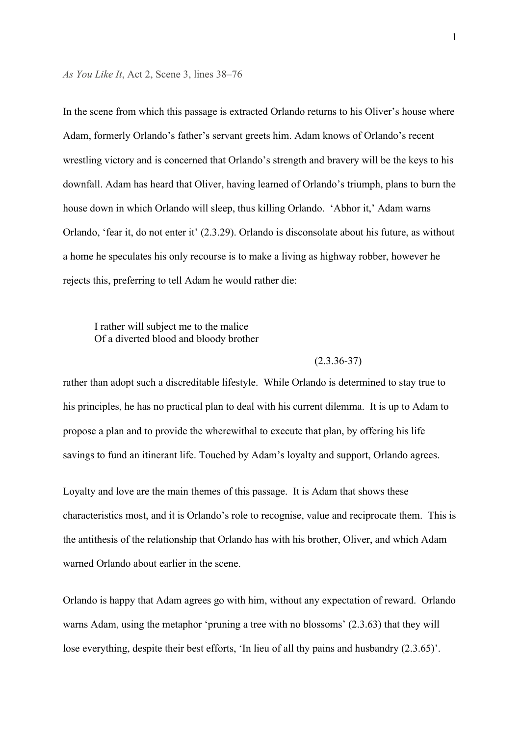*As You Like It*, Act 2, Scene 3, lines 38–76

In the scene from which this passage is extracted Orlando returns to his Oliver's house where Adam, formerly Orlando's father's servant greets him. Adam knows of Orlando's recent wrestling victory and is concerned that Orlando's strength and bravery will be the keys to his downfall. Adam has heard that Oliver, having learned of Orlando's triumph, plans to burn the house down in which Orlando will sleep, thus killing Orlando. 'Abhor it,' Adam warns Orlando, 'fear it, do not enter it' (2.3.29). Orlando is disconsolate about his future, as without a home he speculates his only recourse is to make a living as highway robber, however he rejects this, preferring to tell Adam he would rather die:

### I rather will subject me to the malice Of a diverted blood and bloody brother

### $(2.3.36 - 37)$

rather than adopt such a discreditable lifestyle. While Orlando is determined to stay true to his principles, he has no practical plan to deal with his current dilemma. It is up to Adam to propose a plan and to provide the wherewithal to execute that plan, by offering his life savings to fund an itinerant life. Touched by Adam's loyalty and support, Orlando agrees.

Loyalty and love are the main themes of this passage. It is Adam that shows these characteristics most, and it is Orlando's role to recognise, value and reciprocate them. This is the antithesis of the relationship that Orlando has with his brother, Oliver, and which Adam warned Orlando about earlier in the scene.

Orlando is happy that Adam agrees go with him, without any expectation of reward. Orlando warns Adam, using the metaphor 'pruning a tree with no blossoms' (2.3.63) that they will lose everything, despite their best efforts, 'In lieu of all thy pains and husbandry (2.3.65)'.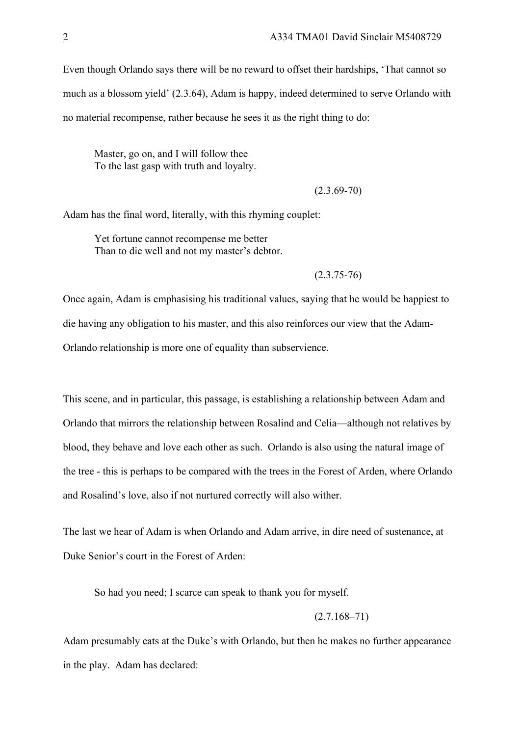Even though Orlando says there will be no reward to offset their hardships, 'That cannot so much as a blossom yield' (2.3.64), Adam is happy, indeed determined to serve Orlando with no material recompense, rather because he sees it as the right thing to do:

Master, go on, and I will follow thee To the last gasp with truth and loyalty.

 $(2.3.69 - 70)$ 

Adam has the final word, literally, with this rhyming couplet:

Yet fortune cannot recompense me better Than to die well and not my master's debtor.

 $(2.3.75 - 76)$ 

Once again, Adam is emphasising his traditional values, saying that he would be happiest to die having any obligation to his master, and this also reinforces our view that the Adam-Orlando relationship is more one of equality than subservience.

This scene, and in particular, this passage, is establishing a relationship between Adam and Orlando that mirrors the relationship between Rosalind and Celia—although not relatives by blood, they behave and love each other as such. Orlando is also using the natural image of the tree - this is perhaps to be compared with the trees in the Forest of Arden, where Orlando and Rosalind's love, also if not nurtured correctly will also wither.

The last we hear of Adam is when Orlando and Adam arrive, in dire need of sustenance, at Duke Senior's court in the Forest of Arden:

So had you need; I scarce can speak to thank you for myself.

 $(2.7.168 - 71)$ 

Adam presumably eats at the Duke's with Orlando, but then he makes no further appearance in the play. Adam has declared: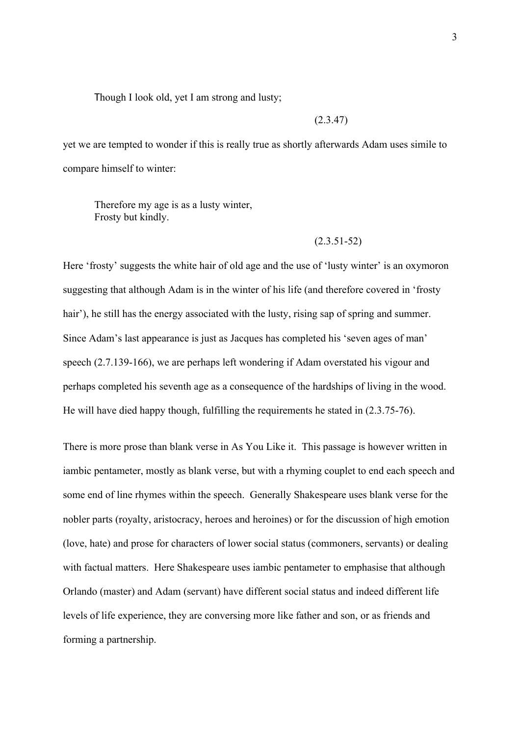Though I look old, yet I am strong and lusty;

### (2.3.47)

yet we are tempted to wonder if this is really true as shortly afterwards Adam uses simile to compare himself to winter:

Therefore my age is as a lusty winter, Frosty but kindly.

#### (2.3.51-52)

Here 'frosty' suggests the white hair of old age and the use of 'lusty winter' is an oxymoron suggesting that although Adam is in the winter of his life (and therefore covered in 'frosty hair'), he still has the energy associated with the lusty, rising sap of spring and summer. Since Adam's last appearance is just as Jacques has completed his 'seven ages of man' speech (2.7.139-166), we are perhaps left wondering if Adam overstated his vigour and perhaps completed his seventh age as a consequence of the hardships of living in the wood. He will have died happy though, fulfilling the requirements he stated in (2.3.75-76).

There is more prose than blank verse in As You Like it. This passage is however written in iambic pentameter, mostly as blank verse, but with a rhyming couplet to end each speech and some end of line rhymes within the speech. Generally Shakespeare uses blank verse for the nobler parts (royalty, aristocracy, heroes and heroines) or for the discussion of high emotion (love, hate) and prose for characters of lower social status (commoners, servants) or dealing with factual matters. Here Shakespeare uses iambic pentameter to emphasise that although Orlando (master) and Adam (servant) have different social status and indeed different life levels of life experience, they are conversing more like father and son, or as friends and forming a partnership.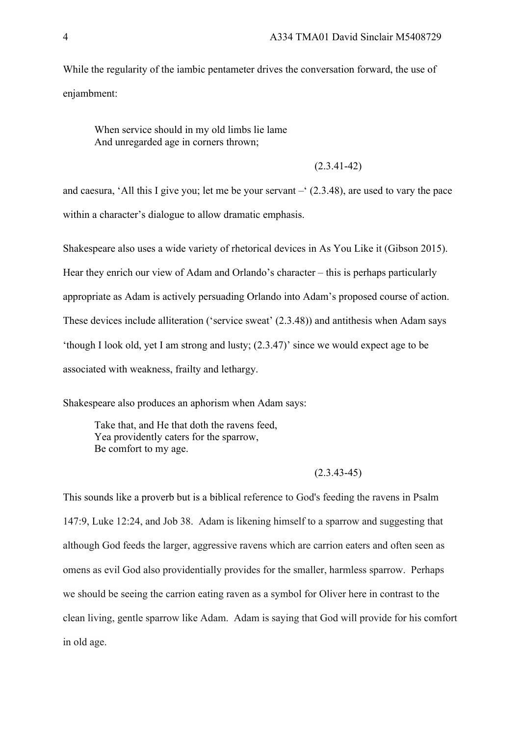While the regularity of the iambic pentameter drives the conversation forward, the use of enjambment:

When service should in my old limbs lie lame And unregarded age in corners thrown;

#### (2.3.41-42)

and caesura, 'All this I give you; let me be your servant –' (2.3.48), are used to vary the pace within a character's dialogue to allow dramatic emphasis.

Shakespeare also uses a wide variety of rhetorical devices in As You Like it (Gibson 2015).

Hear they enrich our view of Adam and Orlando's character – this is perhaps particularly

appropriate as Adam is actively persuading Orlando into Adam's proposed course of action.

These devices include alliteration ('service sweat' (2.3.48)) and antithesis when Adam says

'though I look old, yet I am strong and lusty; (2.3.47)' since we would expect age to be

associated with weakness, frailty and lethargy.

Shakespeare also produces an aphorism when Adam says:

Take that, and He that doth the ravens feed, Yea providently caters for the sparrow, Be comfort to my age.

### $(2.3.43 - 45)$

This sounds like a proverb but is a biblical reference to God's feeding the ravens in Psalm 147:9, Luke 12:24, and Job 38. Adam is likening himself to a sparrow and suggesting that although God feeds the larger, aggressive ravens which are carrion eaters and often seen as omens as evil God also providentially provides for the smaller, harmless sparrow. Perhaps we should be seeing the carrion eating raven as a symbol for Oliver here in contrast to the clean living, gentle sparrow like Adam. Adam is saying that God will provide for his comfort in old age.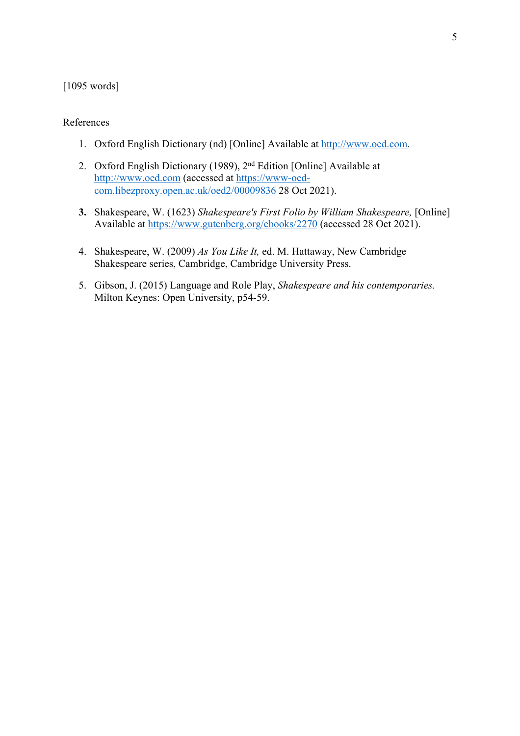# [1095 words]

### References

- 1. Oxford English Dictionary (nd) [Online] Available at http://www.oed.com.
- 2. Oxford English Dictionary (1989), 2nd Edition [Online] Available at http://www.oed.com (accessed at https://www-oedcom.libezproxy.open.ac.uk/oed2/00009836 28 Oct 2021).
- **3.** Shakespeare, W. (1623) *Shakespeare's First Folio by William Shakespeare,* [Online] Available at https://www.gutenberg.org/ebooks/2270 (accessed 28 Oct 2021).
- 4. Shakespeare, W. (2009) *As You Like It,* ed. M. Hattaway, New Cambridge Shakespeare series, Cambridge, Cambridge University Press.
- 5. Gibson, J. (2015) Language and Role Play, *Shakespeare and his contemporaries.* Milton Keynes: Open University, p54-59.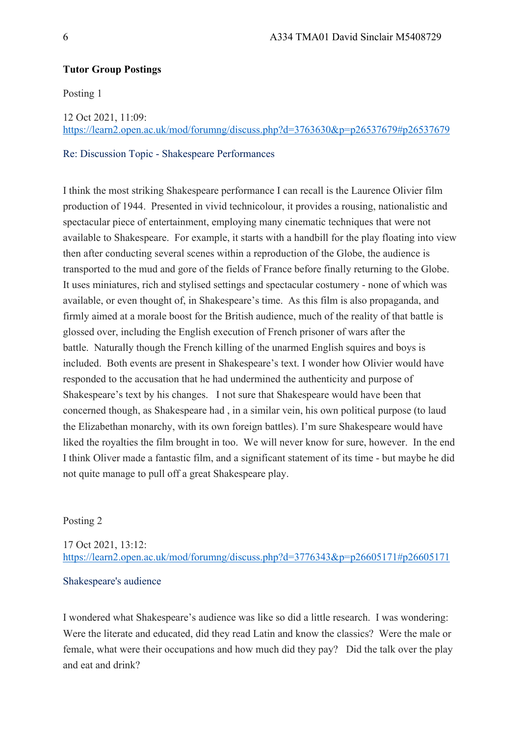## **Tutor Group Postings**

Posting 1

12 Oct 2021, 11:09:

https://learn2.open.ac.uk/mod/forumng/discuss.php?d=3763630&p=p26537679#p26537679

Re: Discussion Topic - Shakespeare Performances

I think the most striking Shakespeare performance I can recall is the Laurence Olivier film production of 1944. Presented in vivid technicolour, it provides a rousing, nationalistic and spectacular piece of entertainment, employing many cinematic techniques that were not available to Shakespeare. For example, it starts with a handbill for the play floating into view then after conducting several scenes within a reproduction of the Globe, the audience is transported to the mud and gore of the fields of France before finally returning to the Globe. It uses miniatures, rich and stylised settings and spectacular costumery - none of which was available, or even thought of, in Shakespeare's time. As this film is also propaganda, and firmly aimed at a morale boost for the British audience, much of the reality of that battle is glossed over, including the English execution of French prisoner of wars after the battle. Naturally though the French killing of the unarmed English squires and boys is included. Both events are present in Shakespeare's text. I wonder how Olivier would have responded to the accusation that he had undermined the authenticity and purpose of Shakespeare's text by his changes. I not sure that Shakespeare would have been that concerned though, as Shakespeare had , in a similar vein, his own political purpose (to laud the Elizabethan monarchy, with its own foreign battles). I'm sure Shakespeare would have liked the royalties the film brought in too. We will never know for sure, however. In the end I think Oliver made a fantastic film, and a significant statement of its time - but maybe he did not quite manage to pull off a great Shakespeare play.

Posting 2

17 Oct 2021, 13:12: https://learn2.open.ac.uk/mod/forumng/discuss.php?d=3776343&p=p26605171#p26605171

### Shakespeare's audience

I wondered what Shakespeare's audience was like so did a little research. I was wondering: Were the literate and educated, did they read Latin and know the classics? Were the male or female, what were their occupations and how much did they pay? Did the talk over the play and eat and drink?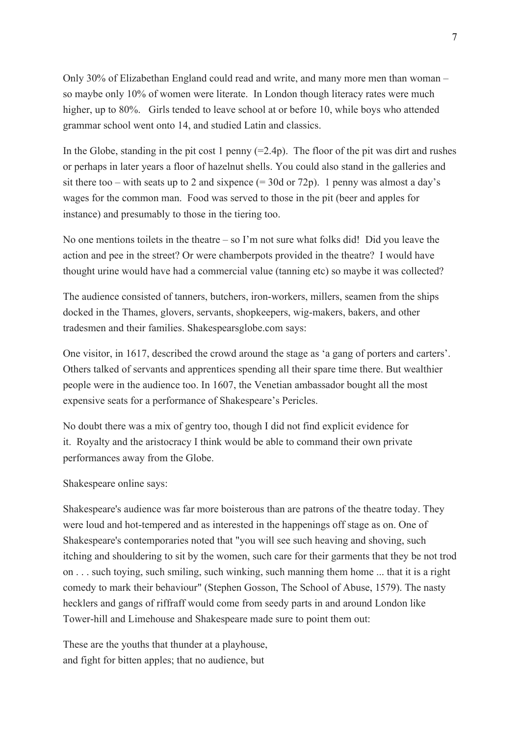Only 30% of Elizabethan England could read and write, and many more men than woman – so maybe only 10% of women were literate. In London though literacy rates were much higher, up to 80%. Girls tended to leave school at or before 10, while boys who attended grammar school went onto 14, and studied Latin and classics.

In the Globe, standing in the pit cost 1 penny  $(=2.4p)$ . The floor of the pit was dirt and rushes or perhaps in later years a floor of hazelnut shells. You could also stand in the galleries and sit there too – with seats up to 2 and sixpence  $(= 30d$  or  $72p)$ . 1 penny was almost a day's wages for the common man. Food was served to those in the pit (beer and apples for instance) and presumably to those in the tiering too.

No one mentions toilets in the theatre – so I'm not sure what folks did! Did you leave the action and pee in the street? Or were chamberpots provided in the theatre? I would have thought urine would have had a commercial value (tanning etc) so maybe it was collected?

The audience consisted of tanners, butchers, iron-workers, millers, seamen from the ships docked in the Thames, glovers, servants, shopkeepers, wig-makers, bakers, and other tradesmen and their families. Shakespearsglobe.com says:

One visitor, in 1617, described the crowd around the stage as 'a gang of porters and carters'. Others talked of servants and apprentices spending all their spare time there. But wealthier people were in the audience too. In 1607, the Venetian ambassador bought all the most expensive seats for a performance of Shakespeare's Pericles.

No doubt there was a mix of gentry too, though I did not find explicit evidence for it. Royalty and the aristocracy I think would be able to command their own private performances away from the Globe.

Shakespeare online says:

Shakespeare's audience was far more boisterous than are patrons of the theatre today. They were loud and hot-tempered and as interested in the happenings off stage as on. One of Shakespeare's contemporaries noted that "you will see such heaving and shoving, such itching and shouldering to sit by the women, such care for their garments that they be not trod on . . . such toying, such smiling, such winking, such manning them home ... that it is a right comedy to mark their behaviour" (Stephen Gosson, The School of Abuse, 1579). The nasty hecklers and gangs of riffraff would come from seedy parts in and around London like Tower-hill and Limehouse and Shakespeare made sure to point them out:

These are the youths that thunder at a playhouse, and fight for bitten apples; that no audience, but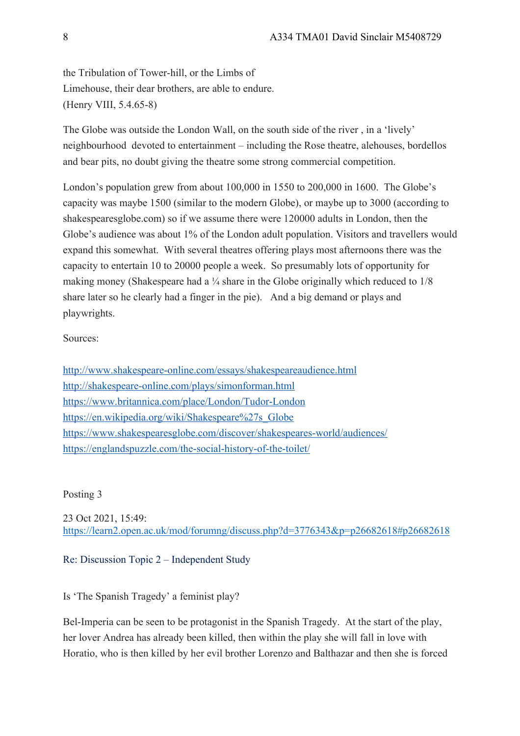the Tribulation of Tower-hill, or the Limbs of Limehouse, their dear brothers, are able to endure. (Henry VIII, 5.4.65-8)

The Globe was outside the London Wall, on the south side of the river , in a 'lively' neighbourhood devoted to entertainment – including the Rose theatre, alehouses, bordellos and bear pits, no doubt giving the theatre some strong commercial competition.

London's population grew from about 100,000 in 1550 to 200,000 in 1600. The Globe's capacity was maybe 1500 (similar to the modern Globe), or maybe up to 3000 (according to shakespearesglobe.com) so if we assume there were 120000 adults in London, then the Globe's audience was about 1% of the London adult population. Visitors and travellers would expand this somewhat. With several theatres offering plays most afternoons there was the capacity to entertain 10 to 20000 people a week. So presumably lots of opportunity for making money (Shakespeare had a ¼ share in the Globe originally which reduced to  $1/8$ share later so he clearly had a finger in the pie). And a big demand or plays and playwrights.

# Sources:

http://www.shakespeare-online.com/essays/shakespeareaudience.html http://shakespeare-online.com/plays/simonforman.html https://www.britannica.com/place/London/Tudor-London https://en.wikipedia.org/wiki/Shakespeare%27s\_Globe https://www.shakespearesglobe.com/discover/shakespeares-world/audiences/ https://englandspuzzle.com/the-social-history-of-the-toilet/

## Posting 3

23 Oct 2021, 15:49: https://learn2.open.ac.uk/mod/forumng/discuss.php?d=3776343&p=p26682618#p26682618

## Re: Discussion Topic 2 – Independent Study

Is 'The Spanish Tragedy' a feminist play?

Bel-Imperia can be seen to be protagonist in the Spanish Tragedy. At the start of the play, her lover Andrea has already been killed, then within the play she will fall in love with Horatio, who is then killed by her evil brother Lorenzo and Balthazar and then she is forced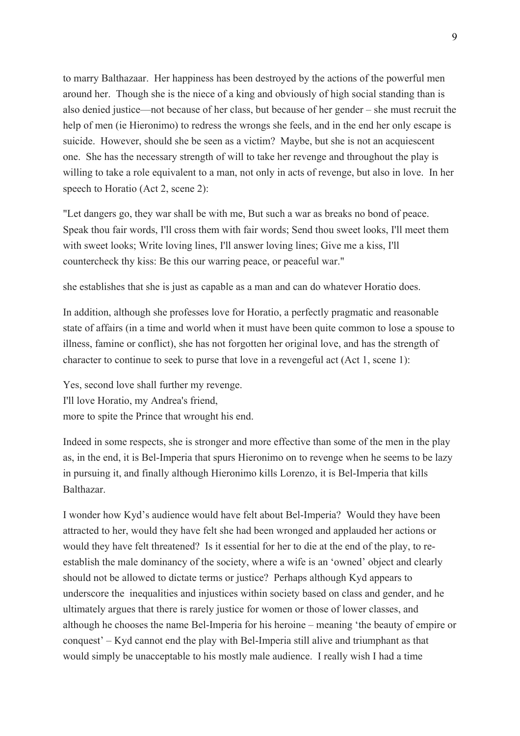to marry Balthazaar. Her happiness has been destroyed by the actions of the powerful men around her. Though she is the niece of a king and obviously of high social standing than is also denied justice—not because of her class, but because of her gender – she must recruit the help of men (ie Hieronimo) to redress the wrongs she feels, and in the end her only escape is suicide. However, should she be seen as a victim? Maybe, but she is not an acquiescent one. She has the necessary strength of will to take her revenge and throughout the play is willing to take a role equivalent to a man, not only in acts of revenge, but also in love. In her speech to Horatio (Act 2, scene 2):

"Let dangers go, they war shall be with me, But such a war as breaks no bond of peace. Speak thou fair words, I'll cross them with fair words; Send thou sweet looks, I'll meet them with sweet looks; Write loving lines, I'll answer loving lines; Give me a kiss, I'll countercheck thy kiss: Be this our warring peace, or peaceful war."

she establishes that she is just as capable as a man and can do whatever Horatio does.

In addition, although she professes love for Horatio, a perfectly pragmatic and reasonable state of affairs (in a time and world when it must have been quite common to lose a spouse to illness, famine or conflict), she has not forgotten her original love, and has the strength of character to continue to seek to purse that love in a revengeful act (Act 1, scene 1):

Yes, second love shall further my revenge. I'll love Horatio, my Andrea's friend, more to spite the Prince that wrought his end.

Indeed in some respects, she is stronger and more effective than some of the men in the play as, in the end, it is Bel-Imperia that spurs Hieronimo on to revenge when he seems to be lazy in pursuing it, and finally although Hieronimo kills Lorenzo, it is Bel-Imperia that kills Balthazar.

I wonder how Kyd's audience would have felt about Bel-Imperia? Would they have been attracted to her, would they have felt she had been wronged and applauded her actions or would they have felt threatened? Is it essential for her to die at the end of the play, to reestablish the male dominancy of the society, where a wife is an 'owned' object and clearly should not be allowed to dictate terms or justice? Perhaps although Kyd appears to underscore the inequalities and injustices within society based on class and gender, and he ultimately argues that there is rarely justice for women or those of lower classes, and although he chooses the name Bel-Imperia for his heroine – meaning 'the beauty of empire or conquest' – Kyd cannot end the play with Bel-Imperia still alive and triumphant as that would simply be unacceptable to his mostly male audience. I really wish I had a time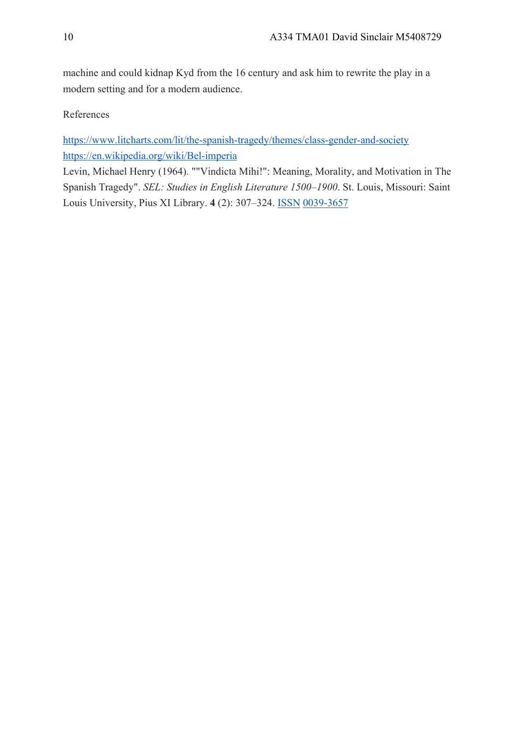machine and could kidnap Kyd from the 16 century and ask him to rewrite the play in a modern setting and for a modern audience.

References

https://www.litcharts.com/lit/the-spanish-tragedy/themes/class-gender-and-society https://en.wikipedia.org/wiki/Bel-imperia

Levin, Michael Henry (1964). ""Vindicta Mihi!": Meaning, Morality, and Motivation in The Spanish Tragedy". *SEL: Studies in English Literature 1500–1900*. St. Louis, Missouri: Saint Louis University, Pius XI Library. **4** (2): 307–324. ISSN 0039-3657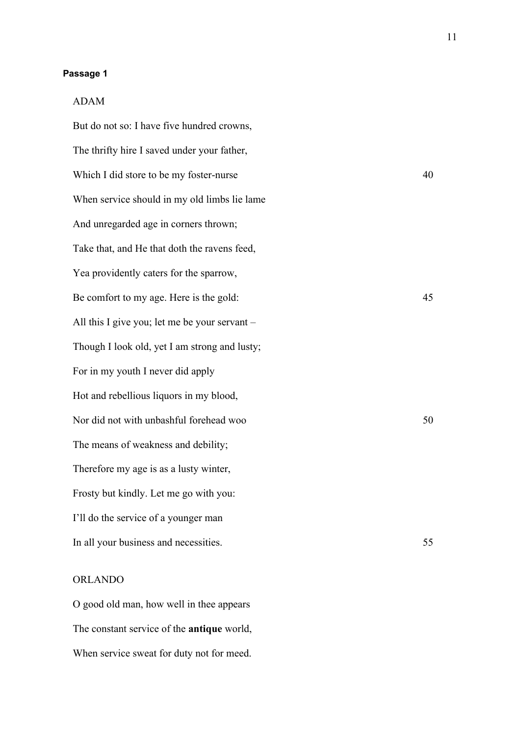### **Passage 1**

### ADAM

But do not so: I have five hundred crowns, The thrifty hire I saved under your father, Which I did store to be my foster-nurse 40 When service should in my old limbs lie lame And unregarded age in corners thrown; Take that, and He that doth the ravens feed, Yea providently caters for the sparrow, Be comfort to my age. Here is the gold: 45 All this I give you; let me be your servant – Though I look old, yet I am strong and lusty; For in my youth I never did apply Hot and rebellious liquors in my blood, Nor did not with unbashful forehead woo 50 The means of weakness and debility; Therefore my age is as a lusty winter, Frosty but kindly. Let me go with you: I'll do the service of a younger man In all your business and necessities. 55

# ORLANDO

O good old man, how well in thee appears The constant service of the **antique** world, When service sweat for duty not for meed.